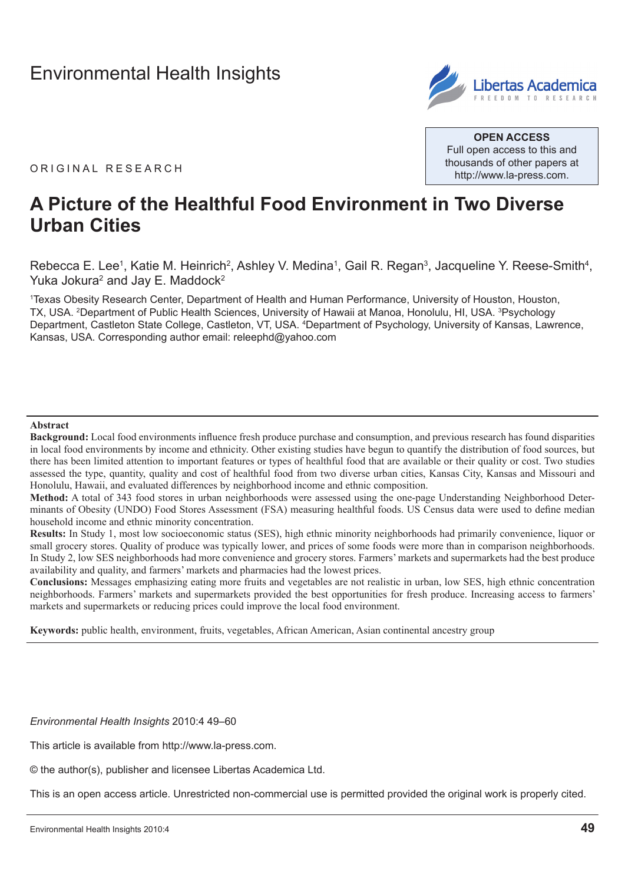

**Open Access** Full open access to this and thousands of other papers at <http://www.la-press.com>.

ORIGINAL RESEARCH

# **A Picture of the Healthful Food Environment in Two Diverse Urban Cities**

Rebecca E. Lee<sup>1</sup>, Katie M. Heinrich<sup>2</sup>, Ashley V. Medina<sup>1</sup>, Gail R. Regan<sup>3</sup>, Jacqueline Y. Reese-Smith<sup>4</sup>, Yuka Jokura<sup>2</sup> and Jay E. Maddock<sup>2</sup>

1 Texas Obesity Research Center, Department of Health and Human Performance, University of Houston, Houston, TX, USA. <sup>2</sup>Department of Public Health Sciences, University of Hawaii at Manoa, Honolulu, HI, USA. <sup>3</sup>Psychology Department, Castleton State College, Castleton, VT, USA. <sup>4</sup>Department of Psychology, University of Kansas, Lawrence, Kansas, USA. Corresponding author email: [releephd@yahoo.com](mailto:releephd@yahoo.com)

#### **Abstract**

**Background:** Local food environments influence fresh produce purchase and consumption, and previous research has found disparities in local food environments by income and ethnicity. Other existing studies have begun to quantify the distribution of food sources, but there has been limited attention to important features or types of healthful food that are available or their quality or cost. Two studies assessed the type, quantity, quality and cost of healthful food from two diverse urban cities, Kansas City, Kansas and Missouri and Honolulu, Hawaii, and evaluated differences by neighborhood income and ethnic composition.

**Method:** A total of 343 food stores in urban neighborhoods were assessed using the one-page Understanding Neighborhood Determinants of Obesity (UNDO) Food Stores Assessment (FSA) measuring healthful foods. US Census data were used to define median household income and ethnic minority concentration.

**Results:** In Study 1, most low socioeconomic status (SES), high ethnic minority neighborhoods had primarily convenience, liquor or small grocery stores. Quality of produce was typically lower, and prices of some foods were more than in comparison neighborhoods. In Study 2, low SES neighborhoods had more convenience and grocery stores. Farmers' markets and supermarkets had the best produce availability and quality, and farmers' markets and pharmacies had the lowest prices.

**Conclusions:** Messages emphasizing eating more fruits and vegetables are not realistic in urban, low SES, high ethnic concentration neighborhoods. Farmers' markets and supermarkets provided the best opportunities for fresh produce. Increasing access to farmers' markets and supermarkets or reducing prices could improve the local food environment.

**Keywords:** public health, environment, fruits, vegetables, African American, Asian continental ancestry group

*Environmental Health Insights* 2010:4 49–60

This article is available from [http://www.la-press.com.](http://www.la-press.com)

© the author(s), publisher and licensee Libertas Academica Ltd.

This is an open access article. Unrestricted non-commercial use is permitted provided the original work is properly cited.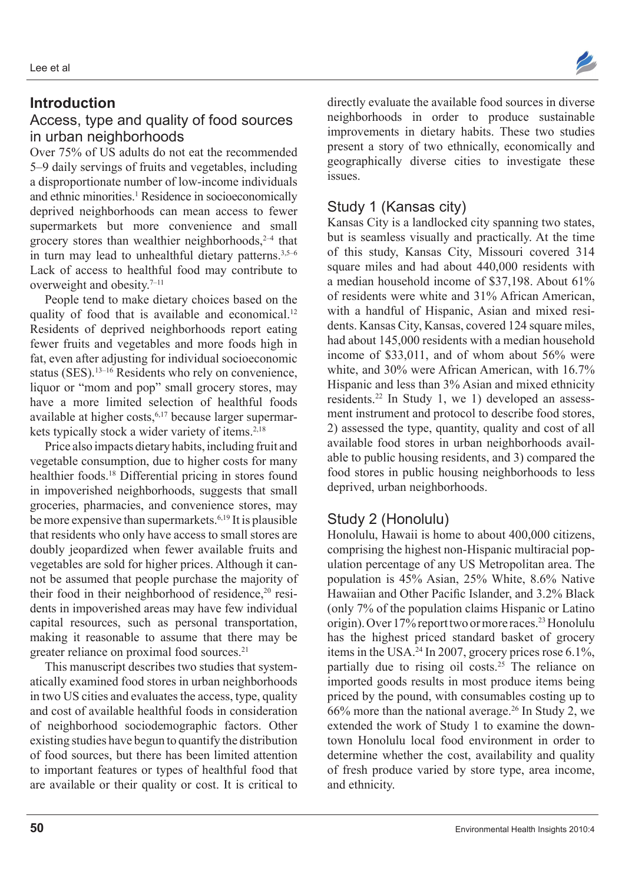

## **Introduction**

### Access, type and quality of food sources in urban neighborhoods

Over 75% of US adults do not eat the recommended 5–9 daily servings of fruits and vegetables, including a disproportionate number of low-income individuals and ethnic minorities.<sup>1</sup> Residence in socioeconomically deprived neighborhoods can mean access to fewer supermarkets but more convenience and small grocery stores than wealthier neighborhoods, $2-4$  that in turn may lead to unhealthful dietary patterns. $3,5-6$ Lack of access to healthful food may contribute to overweight and obesity. $7-11$ 

People tend to make dietary choices based on the quality of food that is available and economical.<sup>12</sup> Residents of deprived neighborhoods report eating fewer fruits and vegetables and more foods high in fat, even after adjusting for individual socioeconomic status (SES).<sup>13–16</sup> Residents who rely on convenience, liquor or "mom and pop" small grocery stores, may have a more limited selection of healthful foods available at higher costs,<sup>6,17</sup> because larger supermarkets typically stock a wider variety of items.<sup>2,18</sup>

Price also impacts dietary habits, including fruit and vegetable consumption, due to higher costs for many healthier foods.18 Differential pricing in stores found in impoverished neighborhoods, suggests that small groceries, pharmacies, and convenience stores, may be more expensive than supermarkets.<sup>6,19</sup> It is plausible that residents who only have access to small stores are doubly jeopardized when fewer available fruits and vegetables are sold for higher prices. Although it cannot be assumed that people purchase the majority of their food in their neighborhood of residence,<sup>20</sup> residents in impoverished areas may have few individual capital resources, such as personal transportation, making it reasonable to assume that there may be greater reliance on proximal food sources.<sup>21</sup>

This manuscript describes two studies that systematically examined food stores in urban neighborhoods in two US cities and evaluates the access, type, quality and cost of available healthful foods in consideration of neighborhood sociodemographic factors. Other existing studies have begun to quantify the distribution of food sources, but there has been limited attention to important features or types of healthful food that are available or their quality or cost. It is critical to

directly evaluate the available food sources in diverse neighborhoods in order to produce sustainable improvements in dietary habits. These two studies present a story of two ethnically, economically and geographically diverse cities to investigate these issues.

## Study 1 (Kansas city)

Kansas City is a landlocked city spanning two states, but is seamless visually and practically. At the time of this study, Kansas City, Missouri covered 314 square miles and had about 440,000 residents with a median household income of \$37,198. About 61% of residents were white and 31% African American, with a handful of Hispanic, Asian and mixed residents. Kansas City, Kansas, covered 124 square miles, had about 145,000 residents with a median household income of \$33,011, and of whom about 56% were white, and 30% were African American, with 16.7% Hispanic and less than 3% Asian and mixed ethnicity residents.22 In Study 1, we 1) developed an assessment instrument and protocol to describe food stores, 2) assessed the type, quantity, quality and cost of all available food stores in urban neighborhoods available to public housing residents, and 3) compared the food stores in public housing neighborhoods to less deprived, urban neighborhoods.

## Study 2 (Honolulu)

Honolulu, Hawaii is home to about 400,000 citizens, comprising the highest non-Hispanic multiracial population percentage of any US Metropolitan area. The population is 45% Asian, 25% White, 8.6% Native Hawaiian and Other Pacific Islander, and 3.2% Black (only 7% of the population claims Hispanic or Latino origin). Over 17% report two or more races.<sup>23</sup> Honolulu has the highest priced standard basket of grocery items in the USA.24 In 2007, grocery prices rose 6.1%, partially due to rising oil costs.<sup>25</sup> The reliance on imported goods results in most produce items being priced by the pound, with consumables costing up to  $66\%$  more than the national average.<sup>26</sup> In Study 2, we extended the work of Study 1 to examine the downtown Honolulu local food environment in order to determine whether the cost, availability and quality of fresh produce varied by store type, area income, and ethnicity.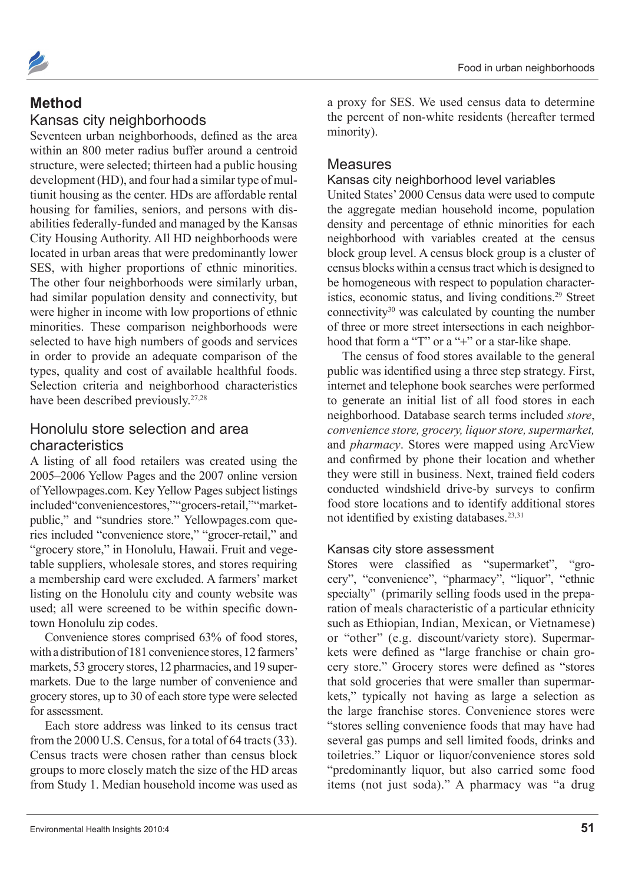



#### **Method** Kansas city neighborhoods

Seventeen urban neighborhoods, defined as the area within an 800 meter radius buffer around a centroid structure, were selected; thirteen had a public housing development (HD), and four had a similar type of multiunit housing as the center. HDs are affordable rental housing for families, seniors, and persons with disabilities federally-funded and managed by the Kansas City Housing Authority. All HD neighborhoods were located in urban areas that were predominantly lower SES, with higher proportions of ethnic minorities. The other four neighborhoods were similarly urban, had similar population density and connectivity, but were higher in income with low proportions of ethnic minorities. These comparison neighborhoods were selected to have high numbers of goods and services in order to provide an adequate comparison of the types, quality and cost of available healthful foods. Selection criteria and neighborhood characteristics have been described previously.<sup>27,28</sup>

### Honolulu store selection and area characteristics

A listing of all food retailers was created using the 2005–2006 Yellow Pages and the 2007 online version of Yellowpages.com. Key Yellow Pages subject listings included "convenience stores,""grocers-retail," "marketpublic," and "sundries store." Yellowpages.com queries included "convenience store," "grocer-retail," and "grocery store," in Honolulu, Hawaii. Fruit and vegetable suppliers, wholesale stores, and stores requiring a membership card were excluded. A farmers' market listing on the Honolulu city and county website was used; all were screened to be within specific downtown Honolulu zip codes.

Convenience stores comprised 63% of food stores, with a distribution of 181 convenience stores, 12 farmers' markets, 53 grocery stores, 12 pharmacies, and 19 supermarkets. Due to the large number of convenience and grocery stores, up to 30 of each store type were selected for assessment.

Each store address was linked to its census tract from the 2000 U.S. Census, for a total of 64 tracts (33). Census tracts were chosen rather than census block groups to more closely match the size of the HD areas from Study 1. Median household income was used as

a proxy for SES. We used census data to determine the percent of non-white residents (hereafter termed minority).

### Measures

Kansas city neighborhood level variables

United States' 2000 Census data were used to compute the aggregate median household income, population density and percentage of ethnic minorities for each neighborhood with variables created at the census block group level. A census block group is a cluster of census blocks within a census tract which is designed to be homogeneous with respect to population characteristics, economic status, and living conditions.29 Street connectivity<sup>30</sup> was calculated by counting the number of three or more street intersections in each neighborhood that form a "T" or a "+" or a star-like shape.

The census of food stores available to the general public was identified using a three step strategy. First, internet and telephone book searches were performed to generate an initial list of all food stores in each neighborhood. Database search terms included *store*, *convenience store, grocery, liquor store, supermarket,* and *pharmacy*. Stores were mapped using ArcView and confirmed by phone their location and whether they were still in business. Next, trained field coders conducted windshield drive-by surveys to confirm food store locations and to identify additional stores not identified by existing databases.<sup>23,31</sup>

#### Kansas city store assessment

Stores were classified as "supermarket", "grocery", "convenience", "pharmacy", "liquor", "ethnic specialty" (primarily selling foods used in the preparation of meals characteristic of a particular ethnicity such as Ethiopian, Indian, Mexican, or Vietnamese) or "other" (e.g. discount/variety store). Supermarkets were defined as "large franchise or chain grocery store." Grocery stores were defined as "stores that sold groceries that were smaller than supermarkets," typically not having as large a selection as the large franchise stores. Convenience stores were "stores selling convenience foods that may have had several gas pumps and sell limited foods, drinks and toiletries." Liquor or liquor/convenience stores sold "predominantly liquor, but also carried some food items (not just soda)." A pharmacy was "a drug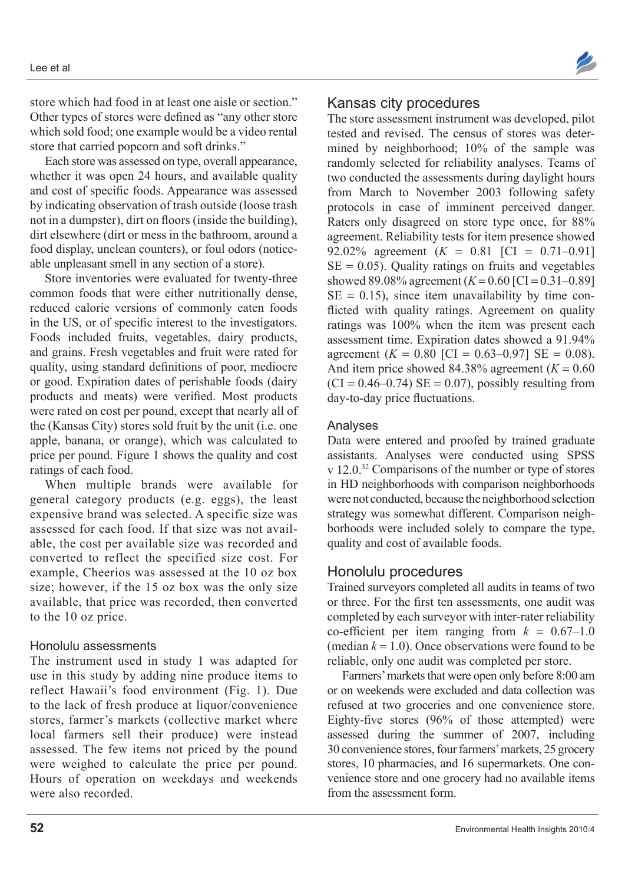store which had food in at least one aisle or section." Other types of stores were defined as "any other store which sold food; one example would be a video rental store that carried popcorn and soft drinks."

Each store was assessed on type, overall appearance, whether it was open 24 hours, and available quality and cost of specific foods. Appearance was assessed by indicating observation of trash outside (loose trash not in a dumpster), dirt on floors (inside the building), dirt elsewhere (dirt or mess in the bathroom, around a food display, unclean counters), or foul odors (noticeable unpleasant smell in any section of a store).

Store inventories were evaluated for twenty-three common foods that were either nutritionally dense, reduced calorie versions of commonly eaten foods in the US, or of specific interest to the investigators. Foods included fruits, vegetables, dairy products, and grains. Fresh vegetables and fruit were rated for quality, using standard definitions of poor, mediocre or good. Expiration dates of perishable foods (dairy products and meats) were verified. Most products were rated on cost per pound, except that nearly all of the (Kansas City) stores sold fruit by the unit (i.e. one apple, banana, or orange), which was calculated to price per pound. Figure 1 shows the quality and cost ratings of each food.

When multiple brands were available for general category products (e.g. eggs), the least expensive brand was selected. A specific size was assessed for each food. If that size was not available, the cost per available size was recorded and converted to reflect the specified size cost. For example, Cheerios was assessed at the 10 oz box size; however, if the 15 oz box was the only size available, that price was recorded, then converted to the 10 oz price.

#### Honolulu assessments

The instrument used in study 1 was adapted for use in this study by adding nine produce items to reflect Hawaii's food environment (Fig. 1). Due to the lack of fresh produce at liquor/convenience stores, farmer's markets (collective market where local farmers sell their produce) were instead assessed. The few items not priced by the pound were weighed to calculate the price per pound. Hours of operation on weekdays and weekends were also recorded.

### Kansas city procedures

The store assessment instrument was developed, pilot tested and revised. The census of stores was determined by neighborhood; 10% of the sample was randomly selected for reliability analyses. Teams of two conducted the assessments during daylight hours from March to November 2003 following safety protocols in case of imminent perceived danger. Raters only disagreed on store type once, for 88% agreement. Reliability tests for item presence showed 92.02% agreement (*K* = 0.81 [CI = 0.71–0.91]  $SE = 0.05$ . Quality ratings on fruits and vegetables showed 89.08% agreement  $(K = 0.60$  [CI = 0.31–0.89]  $SE = 0.15$ ), since item unavailability by time conflicted with quality ratings. Agreement on quality ratings was 100% when the item was present each assessment time. Expiration dates showed a 91.94% agreement  $(K = 0.80$  [CI = 0.63–0.97] SE = 0.08). And item price showed 84.38% agreement  $(K = 0.60)$  $(CI = 0.46-0.74)$  SE = 0.07), possibly resulting from day-to-day price fluctuations.

#### Analyses

Data were entered and proofed by trained graduate assistants. Analyses were conducted using SPSS v 12.0.32 Comparisons of the number or type of stores in HD neighborhoods with comparison neighborhoods were not conducted, because the neighborhood selection strategy was somewhat different. Comparison neighborhoods were included solely to compare the type, quality and cost of available foods.

### Honolulu procedures

Trained surveyors completed all audits in teams of two or three. For the first ten assessments, one audit was completed by each surveyor with inter-rater reliability co-efficient per item ranging from  $k = 0.67{\text -}1.0$ (median  $k = 1.0$ ). Once observations were found to be reliable, only one audit was completed per store.

Farmers' markets that were open only before 8:00 am or on weekends were excluded and data collection was refused at two groceries and one convenience store. Eighty-five stores (96% of those attempted) were assessed during the summer of 2007, including 30 convenience stores, four farmers' markets, 25 grocery stores, 10 pharmacies, and 16 supermarkets. One convenience store and one grocery had no available items from the assessment form.

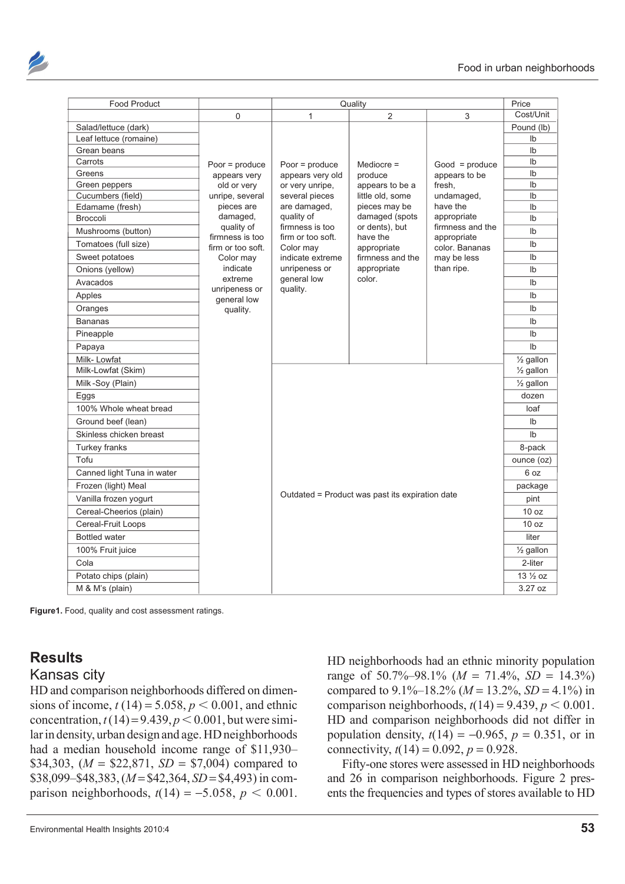

| <b>Food Product</b>                |                               | Quality                                         | Price                             |                        |                           |
|------------------------------------|-------------------------------|-------------------------------------------------|-----------------------------------|------------------------|---------------------------|
|                                    | 0                             | $\mathbf{1}$                                    | $\overline{2}$                    | 3                      | Cost/Unit                 |
| Salad/lettuce (dark)               |                               |                                                 |                                   |                        | Pound (lb)                |
| Leaf lettuce (romaine)             |                               |                                                 |                                   |                        | lb                        |
| Grean beans                        |                               |                                                 |                                   |                        | $\mathsf{lb}$             |
| Carrots                            | Poor $=$ produce              | Poor $=$ produce                                | $Mediocre =$                      | $Good = produce$       | $\mathsf{I}^{\mathsf{b}}$ |
| Greens                             | appears very                  | appears very old                                | produce                           | appears to be          | $\mathsf{lb}$             |
| Green peppers                      | old or very                   | or very unripe,                                 | appears to be a                   | fresh,                 | $\mathsf{lb}$             |
| Cucumbers (field)                  | unripe, several<br>pieces are | several pieces<br>are damaged,                  | little old, some<br>pieces may be | undamaged,<br>have the | $\mathsf{lb}$<br>lb       |
| Edamame (fresh)<br><b>Broccoli</b> | damaged,                      | quality of                                      | damaged (spots                    | appropriate            | $\mathsf{I}^{\mathsf{b}}$ |
| Mushrooms (button)                 | quality of                    | firmness is too                                 | or dents), but                    | firmness and the       | $\mathsf{lb}$             |
| Tomatoes (full size)               | firmness is too               | firm or too soft.                               | have the                          | appropriate            | $\mathsf{I}^{\mathsf{b}}$ |
|                                    | firm or too soft.             | Color may                                       | appropriate                       | color. Bananas         |                           |
| Sweet potatoes                     | Color may<br>indicate         | indicate extreme<br>unripeness or               | firmness and the                  | may be less            | Ib                        |
| Onions (yellow)                    | extreme                       | general low                                     | appropriate<br>color.             | than ripe.             | lb                        |
| Avacados                           | unripeness or                 | quality.                                        |                                   |                        | Ib                        |
| Apples                             | general low                   |                                                 |                                   |                        | Ib                        |
| Oranges                            | quality.                      |                                                 |                                   |                        | $\mathsf{lb}$             |
| <b>Bananas</b>                     |                               |                                                 |                                   |                        | $\mathsf{lb}$             |
| Pineapple                          |                               |                                                 |                                   |                        | lb                        |
| Papaya                             |                               |                                                 |                                   |                        | $\mathsf{lb}$             |
| Milk-Lowfat                        |                               |                                                 |                                   |                        | $\frac{1}{2}$ gallon      |
| Milk-Lowfat (Skim)                 |                               |                                                 |                                   |                        | 1/ <sub>2</sub> gallon    |
| Milk-Soy (Plain)                   |                               |                                                 |                                   |                        | 1/ <sub>2</sub> gallon    |
| Eggs                               |                               |                                                 |                                   |                        | dozen                     |
| 100% Whole wheat bread             |                               |                                                 |                                   |                        | loaf                      |
| Ground beef (lean)                 |                               |                                                 |                                   |                        | lb                        |
| Skinless chicken breast            |                               |                                                 |                                   |                        | lb                        |
| Turkey franks                      |                               |                                                 |                                   |                        | 8-pack                    |
| Tofu                               |                               |                                                 |                                   |                        | ounce (oz)                |
| Canned light Tuna in water         |                               |                                                 |                                   |                        | 6 oz                      |
| Frozen (light) Meal                |                               |                                                 | package                           |                        |                           |
| Vanilla frozen yogurt              |                               | Outdated = Product was past its expiration date | pint                              |                        |                           |
| Cereal-Cheerios (plain)            |                               |                                                 | 10 oz                             |                        |                           |
| Cereal-Fruit Loops                 |                               |                                                 | 10 oz                             |                        |                           |
| <b>Bottled water</b>               |                               |                                                 | liter                             |                        |                           |
| 100% Fruit juice                   |                               |                                                 | $\frac{1}{2}$ gallon              |                        |                           |
| Cola                               |                               |                                                 | 2-liter                           |                        |                           |
| Potato chips (plain)               |                               |                                                 |                                   |                        | $13\frac{1}{2}$ oz        |
| M & M's (plain)                    |                               |                                                 |                                   |                        | 3.27 oz                   |

**Figure1.** Food, quality and cost assessment ratings.

## **Results**

### Kansas city

HD and comparison neighborhoods differed on dimensions of income,  $t(14) = 5.058$ ,  $p < 0.001$ , and ethnic concentration,  $t(14) = 9.439$ ,  $p < 0.001$ , but were similar in density, urban design and age. HD neighborhoods had a median household income range of \$11,930– \$34,303,  $(M = $22,871, SD = $7,004)$  compared to \$38,099–\$48,383, (*M* = \$42,364, *SD* = \$4,493) in comparison neighborhoods,  $t(14) = -5.058$ ,  $p < 0.001$ .

HD neighborhoods had an ethnic minority population range of 50.7%–98.1% (*M* = 71.4%, *SD* = 14.3%) compared to  $9.1\%$ –18.2% ( $M = 13.2\%$ ,  $SD = 4.1\%$ ) in comparison neighborhoods,  $t(14) = 9.439$ ,  $p < 0.001$ . HD and comparison neighborhoods did not differ in population density,  $t(14) = -0.965$ ,  $p = 0.351$ , or in connectivity,  $t(14) = 0.092$ ,  $p = 0.928$ .

Fifty-one stores were assessed in HD neighborhoods and 26 in comparison neighborhoods. Figure 2 presents the frequencies and types of stores available to HD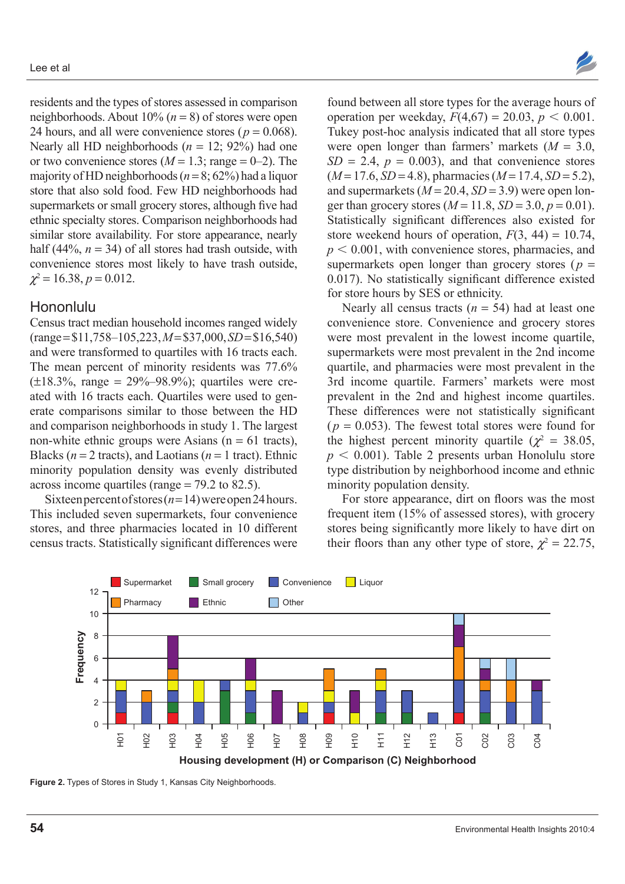residents and the types of stores assessed in comparison neighborhoods. About 10% (*n* = 8) of stores were open 24 hours, and all were convenience stores ( $p = 0.068$ ). Nearly all HD neighborhoods  $(n = 12; 92\%)$  had one or two convenience stores  $(M = 1.3; \text{range} = 0-2)$ . The majority of HD neighborhoods ( $n = 8$ ; 62%) had a liquor store that also sold food. Few HD neighborhoods had supermarkets or small grocery stores, although five had ethnic specialty stores. Comparison neighborhoods had similar store availability. For store appearance, nearly half (44%,  $n = 34$ ) of all stores had trash outside, with convenience stores most likely to have trash outside,  $\chi^2$  = 16.38, *p* = 0.012.

#### Hononlulu

Census tract median household incomes ranged widely (range = \$11,758–105,223, *M*= \$37,000, *SD*= \$16,540) and were transformed to quartiles with 16 tracts each. The mean percent of minority residents was 77.6%  $(\pm 18.3\%$ , range = 29%–98.9%); quartiles were created with 16 tracts each. Quartiles were used to generate comparisons similar to those between the HD and comparison neighborhoods in study 1. The largest non-white ethnic groups were Asians ( $n = 61$  tracts), Blacks ( $n = 2$  tracts), and Laotians ( $n = 1$  tract). Ethnic minority population density was evenly distributed across income quartiles (range = 79.2 to 82.5).

Sixteen percent of stores  $(n=14)$  were open 24 hours. This included seven supermarkets, four convenience stores, and three pharmacies located in 10 different census tracts. Statistically significant differences were



found between all store types for the average hours of operation per weekday,  $F(4,67) = 20.03$ ,  $p < 0.001$ . Tukey post-hoc analysis indicated that all store types were open longer than farmers' markets (*M* = 3.0,  $SD = 2.4$ ,  $p = 0.003$ ), and that convenience stores  $(M=17.6, SD=4.8)$ , pharmacies  $(M=17.4, SD=5.2)$ , and supermarkets  $(M = 20.4, SD = 3.9)$  were open longer than grocery stores  $(M = 11.8, SD = 3.0, p = 0.01)$ . Statistically significant differences also existed for store weekend hours of operation,  $F(3, 44) = 10.74$ ,  $p < 0.001$ , with convenience stores, pharmacies, and supermarkets open longer than grocery stores ( $p =$ 0.017). No statistically significant difference existed for store hours by SES or ethnicity.

Nearly all census tracts  $(n = 54)$  had at least one convenience store. Convenience and grocery stores were most prevalent in the lowest income quartile, supermarkets were most prevalent in the 2nd income quartile, and pharmacies were most prevalent in the 3rd income quartile. Farmers' markets were most prevalent in the 2nd and highest income quartiles. These differences were not statistically significant  $(p = 0.053)$ . The fewest total stores were found for the highest percent minority quartile ( $\chi^2 = 38.05$ ,  $p < 0.001$ ). Table 2 presents urban Honolulu store type distribution by neighborhood income and ethnic minority population density.

For store appearance, dirt on floors was the most frequent item (15% of assessed stores), with grocery stores being significantly more likely to have dirt on their floors than any other type of store,  $\chi^2 = 22.75$ ,



**Figure 2.** Types of Stores in Study 1, Kansas City Neighborhoods.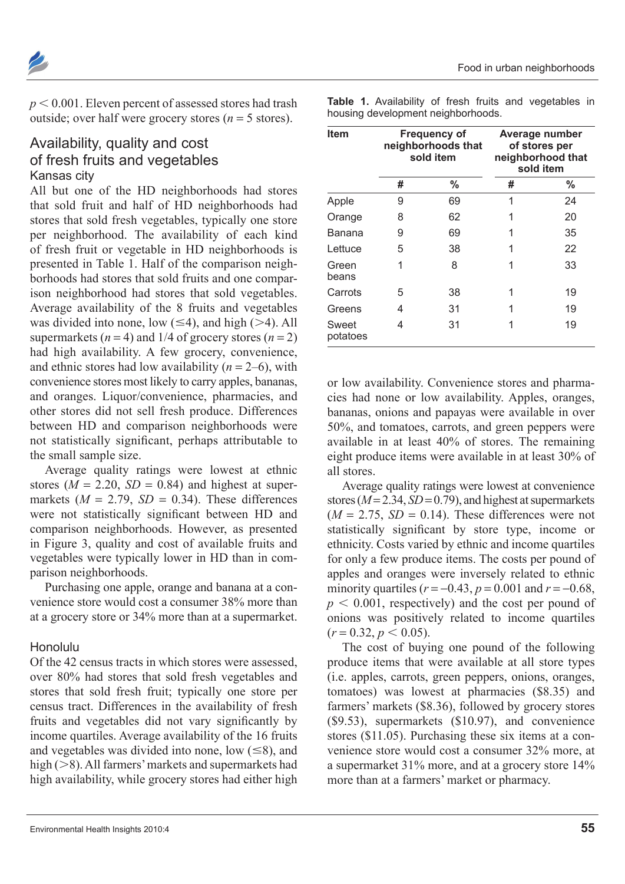

 $p < 0.001$ . Eleven percent of assessed stores had trash outside; over half were grocery stores ( $n = 5$  stores).

#### Availability, quality and cost of fresh fruits and vegetables Kansas city

All but one of the HD neighborhoods had stores that sold fruit and half of HD neighborhoods had stores that sold fresh vegetables, typically one store per neighborhood. The availability of each kind of fresh fruit or vegetable in HD neighborhoods is presented in Table 1. Half of the comparison neighborhoods had stores that sold fruits and one comparison neighborhood had stores that sold vegetables. Average availability of the 8 fruits and vegetables was divided into none, low  $(\leq 4)$ , and high ( $> 4$ ). All supermarkets  $(n = 4)$  and 1/4 of grocery stores  $(n = 2)$ had high availability. A few grocery, convenience, and ethnic stores had low availability  $(n = 2-6)$ , with convenience stores most likely to carry apples, bananas, and oranges. Liquor/convenience, pharmacies, and other stores did not sell fresh produce. Differences between HD and comparison neighborhoods were not statistically significant, perhaps attributable to the small sample size.

Average quality ratings were lowest at ethnic stores ( $M = 2.20$ ,  $SD = 0.84$ ) and highest at supermarkets  $(M = 2.79, SD = 0.34)$ . These differences were not statistically significant between HD and comparison neighborhoods. However, as presented in Figure 3, quality and cost of available fruits and vegetables were typically lower in HD than in comparison neighborhoods.

Purchasing one apple, orange and banana at a convenience store would cost a consumer 38% more than at a grocery store or 34% more than at a supermarket.

#### Honolulu

Of the 42 census tracts in which stores were assessed, over 80% had stores that sold fresh vegetables and stores that sold fresh fruit; typically one store per census tract. Differences in the availability of fresh fruits and vegetables did not vary significantly by income quartiles. Average availability of the 16 fruits and vegetables was divided into none, low  $(\leq 8)$ , and high  $(8)$ . All farmers' markets and supermarkets had high availability, while grocery stores had either high **Table 1.** Availability of fresh fruits and vegetables in housing development neighborhoods.

| ltem              |   | <b>Frequency of</b><br>neighborhoods that<br>sold item | Average number<br>of stores per<br>neighborhood that<br>sold item |    |  |
|-------------------|---|--------------------------------------------------------|-------------------------------------------------------------------|----|--|
|                   | # | %                                                      | #                                                                 | %  |  |
| Apple             | 9 | 69                                                     | 1                                                                 | 24 |  |
| Orange            | 8 | 62                                                     |                                                                   | 20 |  |
| Banana            | 9 | 69                                                     |                                                                   | 35 |  |
| Lettuce           | 5 | 38                                                     |                                                                   | 22 |  |
| Green<br>beans    | 1 | 8                                                      |                                                                   | 33 |  |
| Carrots           | 5 | 38                                                     |                                                                   | 19 |  |
| Greens            | 4 | 31                                                     |                                                                   | 19 |  |
| Sweet<br>potatoes | 4 | 31                                                     |                                                                   | 19 |  |

or low availability. Convenience stores and pharmacies had none or low availability. Apples, oranges, bananas, onions and papayas were available in over 50%, and tomatoes, carrots, and green peppers were available in at least 40% of stores. The remaining eight produce items were available in at least 30% of all stores.

Average quality ratings were lowest at convenience stores  $(M=2.34, SD=0.79)$ , and highest at supermarkets  $(M = 2.75, SD = 0.14)$ . These differences were not statistically significant by store type, income or ethnicity. Costs varied by ethnic and income quartiles for only a few produce items. The costs per pound of apples and oranges were inversely related to ethnic minority quartiles ( $r = -0.43$ ,  $p = 0.001$  and  $r = -0.68$ ,  $p < 0.001$ , respectively) and the cost per pound of onions was positively related to income quartiles  $(r = 0.32, p < 0.05)$ .

The cost of buying one pound of the following produce items that were available at all store types (i.e. apples, carrots, green peppers, onions, oranges, tomatoes) was lowest at pharmacies (\$8.35) and farmers' markets (\$8.36), followed by grocery stores (\$9.53), supermarkets (\$10.97), and convenience stores (\$11.05). Purchasing these six items at a convenience store would cost a consumer 32% more, at a supermarket 31% more, and at a grocery store 14% more than at a farmers' market or pharmacy.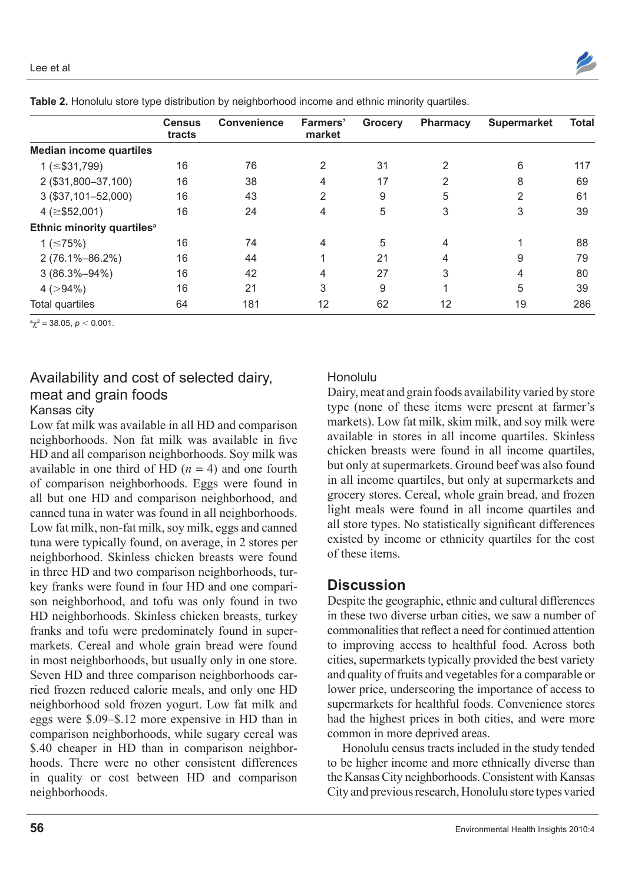

|  |  | Table 2. Honolulu store type distribution by neighborhood income and ethnic minority quartiles. |  |  |
|--|--|-------------------------------------------------------------------------------------------------|--|--|
|  |  |                                                                                                 |  |  |

|                                        | <b>Census</b><br>tracts | <b>Convenience</b> | <b>Farmers'</b><br>market | Grocery | <b>Pharmacy</b> | <b>Supermarket</b> | <b>Total</b> |
|----------------------------------------|-------------------------|--------------------|---------------------------|---------|-----------------|--------------------|--------------|
| <b>Median income quartiles</b>         |                         |                    |                           |         |                 |                    |              |
| $1 ( \leq $31,799)$                    | 16                      | 76                 | 2                         | 31      | 2               | 6                  | 117          |
| 2 (\$31,800-37,100)                    | 16                      | 38                 | 4                         | 17      | 2               | 8                  | 69           |
| $3($ \$37,101-52,000)                  | 16                      | 43                 | 2                         | 9       | 5               | 2                  | 61           |
| $4$ ( $\ge$ \$52,001)                  | 16                      | 24                 | 4                         | 5       | 3               | 3                  | 39           |
| Ethnic minority quartiles <sup>a</sup> |                         |                    |                           |         |                 |                    |              |
| $1 ( \le 75\%)$                        | 16                      | 74                 | 4                         | 5       | 4               |                    | 88           |
| 2 (76.1%-86.2%)                        | 16                      | 44                 |                           | 21      | 4               | 9                  | 79           |
| $3(86.3\% - 94\%)$                     | 16                      | 42                 | 4                         | 27      | 3               | 4                  | 80           |
| $4$ ( $>94\%$ )                        | 16                      | 21                 | 3                         | 9       |                 | 5                  | 39           |
| <b>Total quartiles</b>                 | 64                      | 181                | 12                        | 62      | 12              | 19                 | 286          |

 $\alpha$ <sub>2</sub><sup>2</sup> = 38.05, *p* < 0.001.

### Availability and cost of selected dairy, meat and grain foods Kansas city

Low fat milk was available in all HD and comparison neighborhoods. Non fat milk was available in five HD and all comparison neighborhoods. Soy milk was available in one third of HD  $(n = 4)$  and one fourth of comparison neighborhoods. Eggs were found in all but one HD and comparison neighborhood, and canned tuna in water was found in all neighborhoods. Low fat milk, non-fat milk, soy milk, eggs and canned tuna were typically found, on average, in 2 stores per neighborhood. Skinless chicken breasts were found in three HD and two comparison neighborhoods, turkey franks were found in four HD and one comparison neighborhood, and tofu was only found in two HD neighborhoods. Skinless chicken breasts, turkey franks and tofu were predominately found in supermarkets. Cereal and whole grain bread were found in most neighborhoods, but usually only in one store. Seven HD and three comparison neighborhoods carried frozen reduced calorie meals, and only one HD neighborhood sold frozen yogurt. Low fat milk and eggs were \$.09–\$.12 more expensive in HD than in comparison neighborhoods, while sugary cereal was \$.40 cheaper in HD than in comparison neighborhoods. There were no other consistent differences in quality or cost between HD and comparison neighborhoods.

#### Honolulu

Dairy, meat and grain foods availability varied by store type (none of these items were present at farmer's markets). Low fat milk, skim milk, and soy milk were available in stores in all income quartiles. Skinless chicken breasts were found in all income quartiles, but only at supermarkets. Ground beef was also found in all income quartiles, but only at supermarkets and grocery stores. Cereal, whole grain bread, and frozen light meals were found in all income quartiles and all store types. No statistically significant differences existed by income or ethnicity quartiles for the cost of these items.

## **Discussion**

Despite the geographic, ethnic and cultural differences in these two diverse urban cities, we saw a number of commonalities that reflect a need for continued attention to improving access to healthful food. Across both cities, supermarkets typically provided the best variety and quality of fruits and vegetables for a comparable or lower price, underscoring the importance of access to supermarkets for healthful foods. Convenience stores had the highest prices in both cities, and were more common in more deprived areas.

Honolulu census tracts included in the study tended to be higher income and more ethnically diverse than the Kansas City neighborhoods. Consistent with Kansas City and previous research, Honolulu store types varied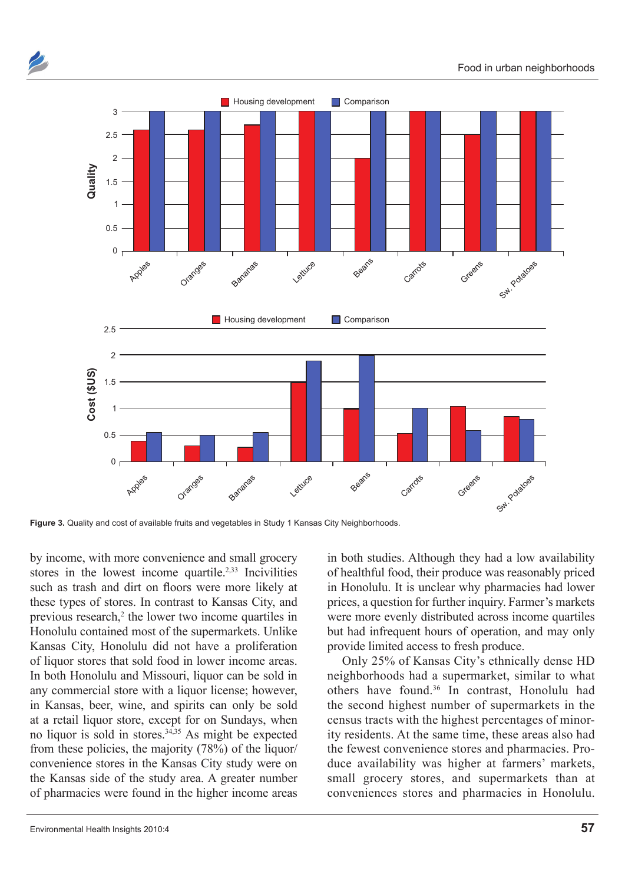

Figure 3. Quality and cost of available fruits and vegetables in Study 1 Kansas City Neighborhoods.

by income, with more convenience and small grocery stores in the lowest income quartile.<sup>2,33</sup> Incivilities such as trash and dirt on floors were more likely at these types of stores. In contrast to Kansas City, and previous research,<sup>2</sup> the lower two income quartiles in Honolulu contained most of the supermarkets. Unlike Kansas City, Honolulu did not have a proliferation of liquor stores that sold food in lower income areas. In both Honolulu and Missouri, liquor can be sold in any commercial store with a liquor license; however, in Kansas, beer, wine, and spirits can only be sold at a retail liquor store, except for on Sundays, when no liquor is sold in stores.34,35 As might be expected from these policies, the majority (78%) of the liquor/ convenience stores in the Kansas City study were on the Kansas side of the study area. A greater number of pharmacies were found in the higher income areas

in both studies. Although they had a low availability of healthful food, their produce was reasonably priced in Honolulu. It is unclear why pharmacies had lower prices, a question for further inquiry. Farmer's markets were more evenly distributed across income quartiles but had infrequent hours of operation, and may only provide limited access to fresh produce.

Only 25% of Kansas City's ethnically dense HD neighborhoods had a supermarket, similar to what others have found.36 In contrast, Honolulu had the second highest number of supermarkets in the census tracts with the highest percentages of minority residents. At the same time, these areas also had the fewest convenience stores and pharmacies. Produce availability was higher at farmers' markets, small grocery stores, and supermarkets than at conveniences stores and pharmacies in Honolulu.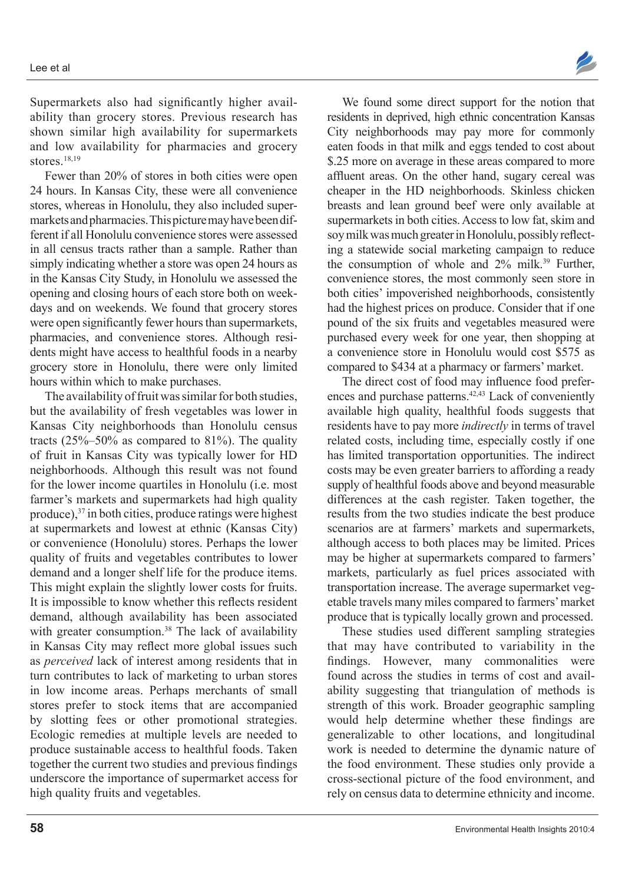Supermarkets also had significantly higher availability than grocery stores. Previous research has shown similar high availability for supermarkets and low availability for pharmacies and grocery stores. $18,19$ 

Fewer than 20% of stores in both cities were open 24 hours. In Kansas City, these were all convenience stores, whereas in Honolulu, they also included supermarkets and pharmacies. This picture may have been different if all Honolulu convenience stores were assessed in all census tracts rather than a sample. Rather than simply indicating whether a store was open 24 hours as in the Kansas City Study, in Honolulu we assessed the opening and closing hours of each store both on weekdays and on weekends. We found that grocery stores were open significantly fewer hours than supermarkets, pharmacies, and convenience stores. Although residents might have access to healthful foods in a nearby grocery store in Honolulu, there were only limited hours within which to make purchases.

The availability of fruit was similar for both studies, but the availability of fresh vegetables was lower in Kansas City neighborhoods than Honolulu census tracts  $(25\% - 50\%$  as compared to 81%). The quality of fruit in Kansas City was typically lower for HD neighborhoods. Although this result was not found for the lower income quartiles in Honolulu (i.e. most farmer's markets and supermarkets had high quality produce), $37$  in both cities, produce ratings were highest at supermarkets and lowest at ethnic (Kansas City) or convenience (Honolulu) stores. Perhaps the lower quality of fruits and vegetables contributes to lower demand and a longer shelf life for the produce items. This might explain the slightly lower costs for fruits. It is impossible to know whether this reflects resident demand, although availability has been associated with greater consumption.<sup>38</sup> The lack of availability in Kansas City may reflect more global issues such as *perceived* lack of interest among residents that in turn contributes to lack of marketing to urban stores in low income areas. Perhaps merchants of small stores prefer to stock items that are accompanied by slotting fees or other promotional strategies. Ecologic remedies at multiple levels are needed to produce sustainable access to healthful foods. Taken together the current two studies and previous findings underscore the importance of supermarket access for high quality fruits and vegetables.



We found some direct support for the notion that residents in deprived, high ethnic concentration Kansas City neighborhoods may pay more for commonly eaten foods in that milk and eggs tended to cost about \$.25 more on average in these areas compared to more affluent areas. On the other hand, sugary cereal was cheaper in the HD neighborhoods. Skinless chicken breasts and lean ground beef were only available at supermarkets in both cities. Access to low fat, skim and soy milk was much greater in Honolulu, possibly reflecting a statewide social marketing campaign to reduce the consumption of whole and  $2\%$  milk.<sup>39</sup> Further, convenience stores, the most commonly seen store in both cities' impoverished neighborhoods, consistently had the highest prices on produce. Consider that if one pound of the six fruits and vegetables measured were purchased every week for one year, then shopping at a convenience store in Honolulu would cost \$575 as compared to \$434 at a pharmacy or farmers' market.

The direct cost of food may influence food preferences and purchase patterns.<sup>42,43</sup> Lack of conveniently available high quality, healthful foods suggests that residents have to pay more *indirectly* in terms of travel related costs, including time, especially costly if one has limited transportation opportunities. The indirect costs may be even greater barriers to affording a ready supply of healthful foods above and beyond measurable differences at the cash register. Taken together, the results from the two studies indicate the best produce scenarios are at farmers' markets and supermarkets, although access to both places may be limited. Prices may be higher at supermarkets compared to farmers' markets, particularly as fuel prices associated with transportation increase. The average supermarket vegetable travels many miles compared to farmers' market produce that is typically locally grown and processed.

These studies used different sampling strategies that may have contributed to variability in the findings. However, many commonalities were found across the studies in terms of cost and availability suggesting that triangulation of methods is strength of this work. Broader geographic sampling would help determine whether these findings are generalizable to other locations, and longitudinal work is needed to determine the dynamic nature of the food environment. These studies only provide a cross-sectional picture of the food environment, and rely on census data to determine ethnicity and income.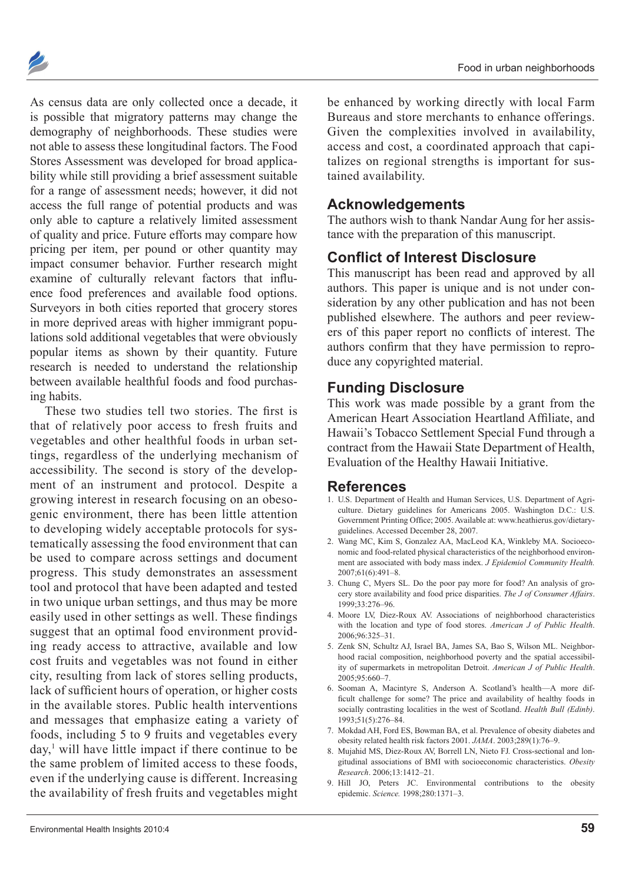

As census data are only collected once a decade, it is possible that migratory patterns may change the demography of neighborhoods. These studies were not able to assess these longitudinal factors. The Food Stores Assessment was developed for broad applicability while still providing a brief assessment suitable for a range of assessment needs; however, it did not access the full range of potential products and was only able to capture a relatively limited assessment of quality and price. Future efforts may compare how pricing per item, per pound or other quantity may impact consumer behavior. Further research might examine of culturally relevant factors that influence food preferences and available food options. Surveyors in both cities reported that grocery stores in more deprived areas with higher immigrant populations sold additional vegetables that were obviously popular items as shown by their quantity. Future research is needed to understand the relationship between available healthful foods and food purchasing habits.

These two studies tell two stories. The first is that of relatively poor access to fresh fruits and vegetables and other healthful foods in urban settings, regardless of the underlying mechanism of accessibility. The second is story of the development of an instrument and protocol. Despite a growing interest in research focusing on an obesogenic environment, there has been little attention to developing widely acceptable protocols for systematically assessing the food environment that can be used to compare across settings and document progress. This study demonstrates an assessment tool and protocol that have been adapted and tested in two unique urban settings, and thus may be more easily used in other settings as well. These findings suggest that an optimal food environment providing ready access to attractive, available and low cost fruits and vegetables was not found in either city, resulting from lack of stores selling products, lack of sufficient hours of operation, or higher costs in the available stores. Public health interventions and messages that emphasize eating a variety of foods, including 5 to 9 fruits and vegetables every  $day$ ,<sup>1</sup> will have little impact if there continue to be the same problem of limited access to these foods, even if the underlying cause is different. Increasing the availability of fresh fruits and vegetables might

be enhanced by working directly with local Farm Bureaus and store merchants to enhance offerings. Given the complexities involved in availability, access and cost, a coordinated approach that capitalizes on regional strengths is important for sustained availability.

### **Acknowledgements**

The authors wish to thank Nandar Aung for her assistance with the preparation of this manuscript.

### **Conflict of Interest Disclosure**

This manuscript has been read and approved by all authors. This paper is unique and is not under consideration by any other publication and has not been published elsewhere. The authors and peer reviewers of this paper report no conflicts of interest. The authors confirm that they have permission to reproduce any copyrighted material.

### **Funding Disclosure**

This work was made possible by a grant from the American Heart Association Heartland Affiliate, and Hawaii's Tobacco Settlement Special Fund through a contract from the Hawaii State Department of Health, Evaluation of the Healthy Hawaii Initiative.

### **References**

- 1. U.S. Department of Health and Human Services, U.S. Department of Agriculture. Dietary guidelines for Americans 2005. Washington D.C.: U.S. Government Printing Office; 2005. Available at: www.heathierus.gov/dietaryguidelines. Accessed December 28, 2007.
- 2. Wang MC, Kim S, Gonzalez AA, MacLeod KA, Winkleby MA. Socioeconomic and food-related physical characteristics of the neighborhood environment are associated with body mass index. *J Epidemiol Community Health.*  $2007:61(6):491-8$
- 3. Chung C, Myers SL. Do the poor pay more for food? An analysis of grocery store availability and food price disparities. *The J of Consumer Affairs*. 1999;33:276–96.
- 4. Moore LV, Diez-Roux AV. Associations of neighborhood characteristics with the location and type of food stores. *American J of Public Health*. 2006;96:325–31.
- 5. Zenk SN, Schultz AJ, Israel BA, James SA, Bao S, Wilson ML. Neighborhood racial composition, neighborhood poverty and the spatial accessibility of supermarkets in metropolitan Detroit. *American J of Public Health*. 2005;95:660–7.
- 6. Sooman A, Macintyre S, Anderson A. Scotland's health—A more difficult challenge for some? The price and availability of healthy foods in socially contrasting localities in the west of Scotland. *Health Bull (Edinb)*. 1993;51(5):276–84.
- 7. Mokdad AH, Ford ES, Bowman BA, et al. Prevalence of obesity diabetes and obesity related health risk factors 2001. *JAMA*. 2003;289(1):76–9.
- 8. Mujahid MS, Diez-Roux AV, Borrell LN, Nieto FJ. Cross-sectional and longitudinal associations of BMI with socioeconomic characteristics. *Obesity Research*. 2006;13:1412–21.
- 9. Hill JO, Peters JC. Environmental contributions to the obesity epidemic. *Science.* 1998;280:1371–3.